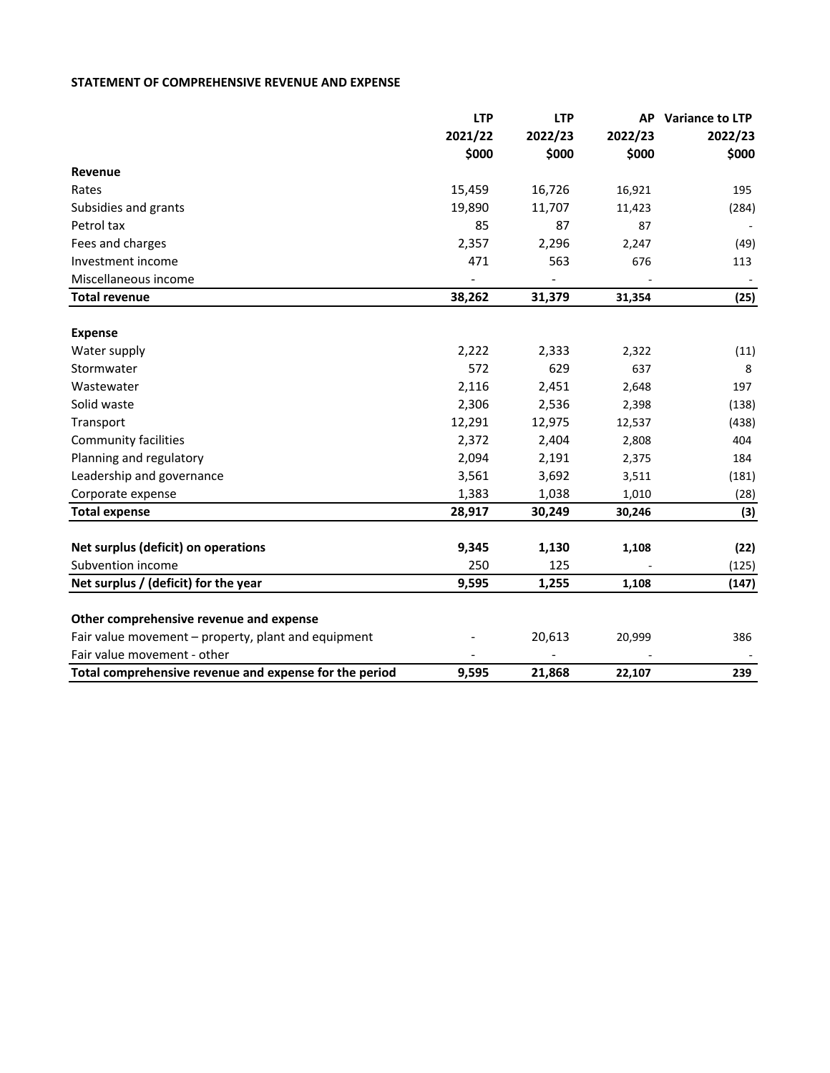## **STATEMENT OF COMPREHENSIVE REVENUE AND EXPENSE**

|                                                        | <b>LTP</b> | <b>LTP</b> | AP      | Variance to LTP |
|--------------------------------------------------------|------------|------------|---------|-----------------|
|                                                        | 2021/22    | 2022/23    | 2022/23 | 2022/23         |
|                                                        | \$000      | \$000      | \$000   | \$000           |
| Revenue                                                |            |            |         |                 |
| Rates                                                  | 15,459     | 16,726     | 16,921  | 195             |
| Subsidies and grants                                   | 19,890     | 11,707     | 11,423  | (284)           |
| Petrol tax                                             | 85         | 87         | 87      |                 |
| Fees and charges                                       | 2,357      | 2,296      | 2,247   | (49)            |
| Investment income                                      | 471        | 563        | 676     | 113             |
| Miscellaneous income                                   |            |            |         |                 |
| <b>Total revenue</b>                                   | 38,262     | 31,379     | 31,354  | (25)            |
|                                                        |            |            |         |                 |
| <b>Expense</b>                                         |            |            |         |                 |
| Water supply                                           | 2,222      | 2,333      | 2,322   | (11)            |
| Stormwater                                             | 572        | 629        | 637     | 8               |
| Wastewater                                             | 2,116      | 2,451      | 2,648   | 197             |
| Solid waste                                            | 2,306      | 2,536      | 2,398   | (138)           |
| Transport                                              | 12,291     | 12,975     | 12,537  | (438)           |
| <b>Community facilities</b>                            | 2,372      | 2,404      | 2,808   | 404             |
| Planning and regulatory                                | 2,094      | 2,191      | 2,375   | 184             |
| Leadership and governance                              | 3,561      | 3,692      | 3,511   | (181)           |
| Corporate expense                                      | 1,383      | 1,038      | 1,010   | (28)            |
| <b>Total expense</b>                                   | 28,917     | 30,249     | 30,246  | (3)             |
|                                                        |            |            |         |                 |
| Net surplus (deficit) on operations                    | 9,345      | 1,130      | 1,108   | (22)            |
| Subvention income                                      | 250        | 125        |         | (125)           |
| Net surplus / (deficit) for the year                   | 9,595      | 1,255      | 1,108   | (147)           |
| Other comprehensive revenue and expense                |            |            |         |                 |
| Fair value movement - property, plant and equipment    |            | 20,613     | 20,999  | 386             |
| Fair value movement - other                            |            |            |         |                 |
| Total comprehensive revenue and expense for the period | 9,595      | 21,868     | 22,107  | 239             |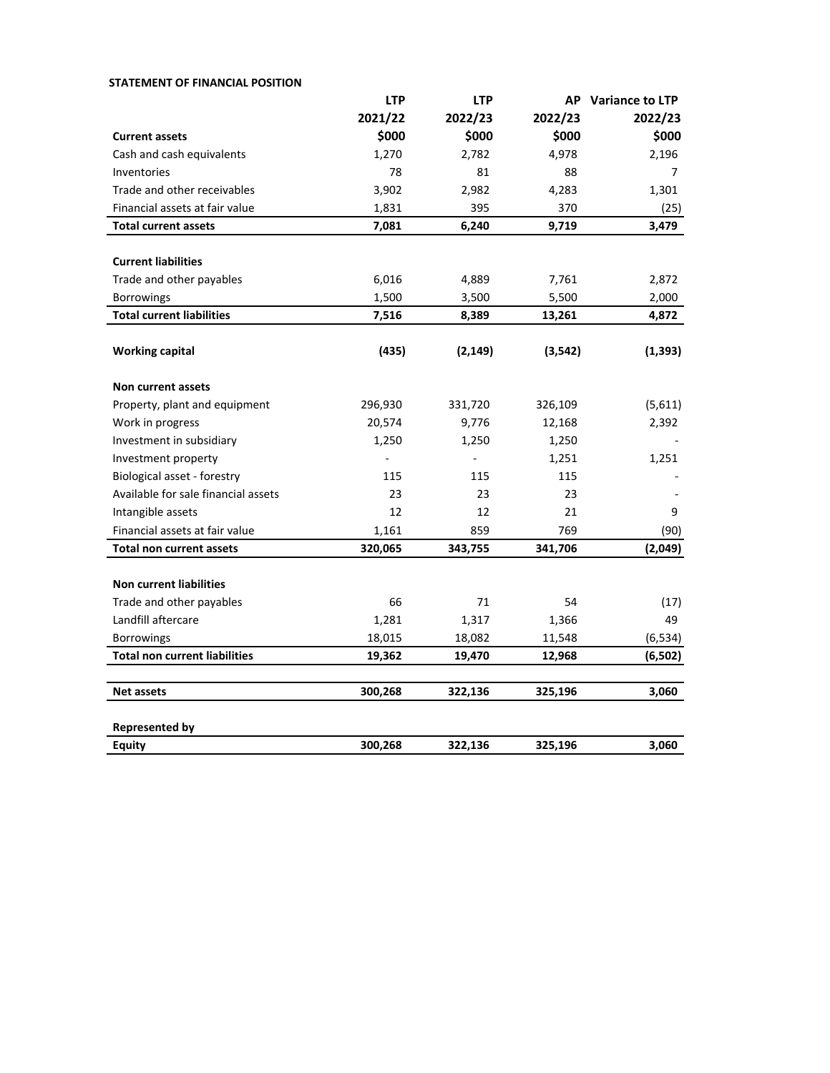| <b>STATEMENT OF FINANCIAL POSITION</b> |            |                |          |                    |
|----------------------------------------|------------|----------------|----------|--------------------|
|                                        | <b>LTP</b> | <b>LTP</b>     |          | AP Variance to LTP |
|                                        | 2021/22    | 2022/23        | 2022/23  | 2022/23            |
| <b>Current assets</b>                  | \$000      | \$000          | \$000    | \$000              |
| Cash and cash equivalents              | 1,270      | 2,782          | 4,978    | 2,196              |
| Inventories                            | 78         | 81             | 88       | 7                  |
| Trade and other receivables            | 3,902      | 2,982          | 4,283    | 1,301              |
| Financial assets at fair value         | 1,831      | 395            | 370      | (25)               |
| <b>Total current assets</b>            | 7,081      | 6,240          | 9,719    | 3,479              |
|                                        |            |                |          |                    |
| <b>Current liabilities</b>             |            |                |          |                    |
| Trade and other payables               | 6,016      | 4,889          | 7,761    | 2,872              |
| Borrowings                             | 1,500      | 3,500          | 5,500    | 2,000              |
| <b>Total current liabilities</b>       | 7,516      | 8,389          | 13,261   | 4,872              |
|                                        |            |                |          |                    |
| <b>Working capital</b>                 | (435)      | (2, 149)       | (3, 542) | (1, 393)           |
| Non current assets                     |            |                |          |                    |
| Property, plant and equipment          | 296,930    | 331,720        | 326,109  | (5,611)            |
| Work in progress                       | 20,574     | 9,776          | 12,168   | 2,392              |
| Investment in subsidiary               | 1,250      | 1,250          | 1,250    |                    |
| Investment property                    |            | $\overline{a}$ | 1,251    | 1,251              |
| Biological asset - forestry            | 115        | 115            | 115      |                    |
| Available for sale financial assets    | 23         | 23             | 23       |                    |
| Intangible assets                      | 12         | 12             | 21       | 9                  |
| Financial assets at fair value         | 1,161      | 859            | 769      | (90)               |
| <b>Total non current assets</b>        | 320,065    | 343,755        | 341,706  | (2,049)            |
|                                        |            |                |          |                    |
| <b>Non current liabilities</b>         |            |                |          |                    |
| Trade and other payables               | 66         | 71             | 54       | (17)               |
| Landfill aftercare                     | 1,281      | 1,317          | 1,366    | 49                 |
| <b>Borrowings</b>                      | 18,015     | 18,082         | 11,548   | (6, 534)           |
| <b>Total non current liabilities</b>   | 19,362     | 19,470         | 12,968   | (6, 502)           |
| <b>Net assets</b>                      | 300,268    | 322,136        | 325,196  | 3,060              |
| <b>Represented by</b>                  |            |                |          |                    |
| Equity                                 | 300,268    | 322,136        | 325,196  | 3,060              |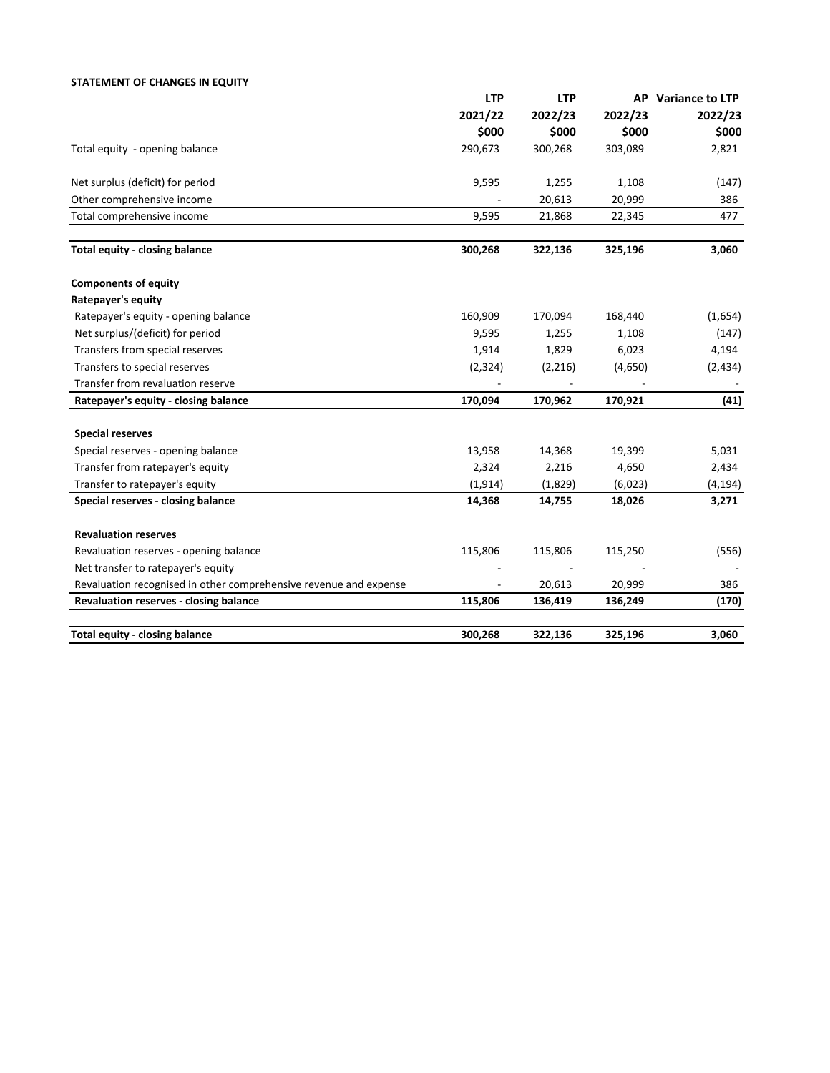## **STATEMENT OF CHANGES IN EQUITY**

|                                                                   | <b>LTP</b> | <b>LTP</b> |         | AP Variance to LTP |
|-------------------------------------------------------------------|------------|------------|---------|--------------------|
|                                                                   | 2021/22    | 2022/23    | 2022/23 | 2022/23            |
|                                                                   | \$000      | \$000      | \$000   | \$000              |
| Total equity - opening balance                                    | 290,673    | 300,268    | 303,089 | 2,821              |
| Net surplus (deficit) for period                                  | 9,595      | 1,255      | 1,108   | (147)              |
| Other comprehensive income                                        |            | 20,613     | 20,999  | 386                |
| Total comprehensive income                                        | 9,595      | 21,868     | 22,345  | 477                |
| Total equity - closing balance                                    | 300,268    | 322,136    | 325,196 | 3,060              |
| <b>Components of equity</b>                                       |            |            |         |                    |
| Ratepayer's equity                                                |            |            |         |                    |
| Ratepayer's equity - opening balance                              | 160,909    | 170,094    | 168,440 | (1,654)            |
| Net surplus/(deficit) for period                                  | 9,595      | 1,255      | 1,108   | (147)              |
| Transfers from special reserves                                   | 1,914      | 1,829      | 6,023   | 4,194              |
| Transfers to special reserves                                     | (2, 324)   | (2, 216)   | (4,650) | (2,434)            |
| Transfer from revaluation reserve                                 |            |            |         |                    |
| Ratepayer's equity - closing balance                              | 170,094    | 170,962    | 170,921 | (41)               |
| <b>Special reserves</b>                                           |            |            |         |                    |
| Special reserves - opening balance                                | 13,958     | 14,368     | 19,399  | 5,031              |
| Transfer from ratepayer's equity                                  | 2,324      | 2,216      | 4,650   | 2,434              |
| Transfer to ratepayer's equity                                    | (1, 914)   | (1,829)    | (6,023) | (4, 194)           |
| Special reserves - closing balance                                | 14,368     | 14,755     | 18,026  | 3,271              |
| <b>Revaluation reserves</b>                                       |            |            |         |                    |
| Revaluation reserves - opening balance                            | 115,806    | 115,806    | 115,250 | (556)              |
| Net transfer to ratepayer's equity                                |            |            |         |                    |
| Revaluation recognised in other comprehensive revenue and expense |            | 20,613     | 20,999  | 386                |
| Revaluation reserves - closing balance                            | 115,806    | 136,419    | 136,249 | (170)              |
| <b>Total equity - closing balance</b>                             | 300,268    | 322,136    | 325,196 | 3,060              |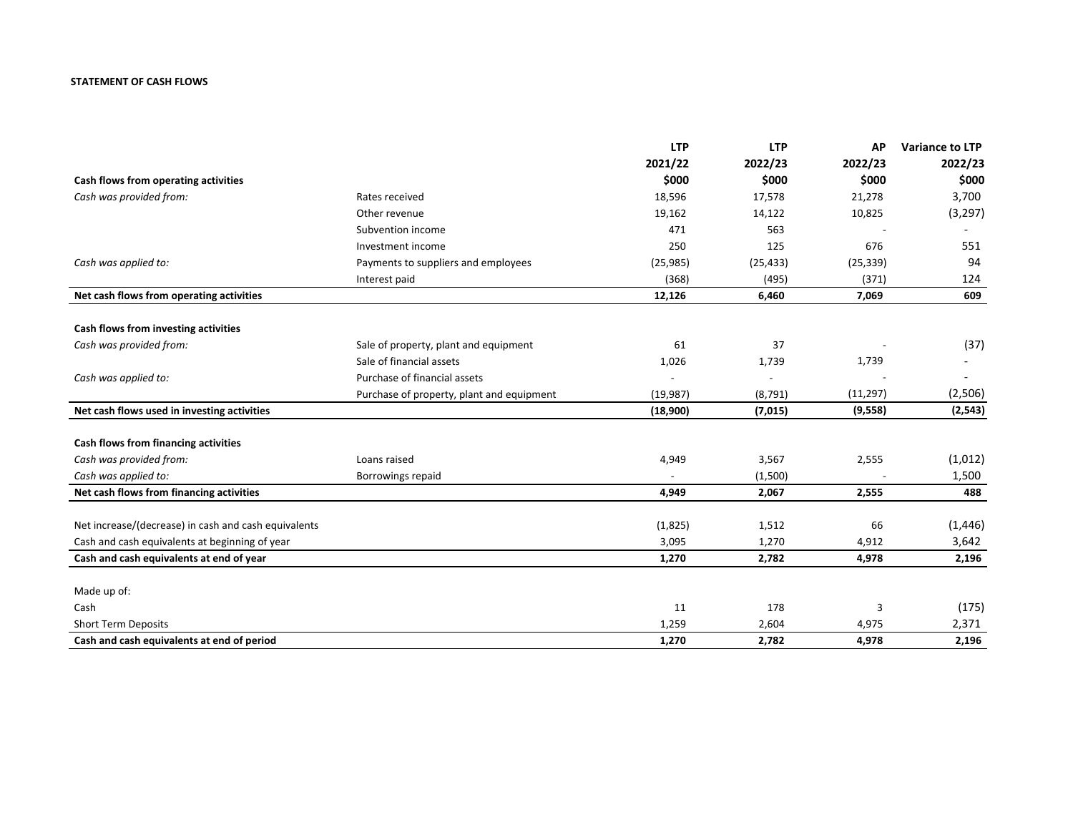## **STATEMENT OF CASH FLOWS**

|                                                      |                                           | <b>LTP</b> | <b>LTP</b> | <b>AP</b> | <b>Variance to LTP</b> |
|------------------------------------------------------|-------------------------------------------|------------|------------|-----------|------------------------|
|                                                      |                                           | 2021/22    | 2022/23    | 2022/23   | 2022/23                |
| Cash flows from operating activities                 |                                           | \$000      | \$000      | \$000     | \$000                  |
| Cash was provided from:                              | Rates received                            | 18,596     | 17,578     | 21,278    | 3,700                  |
|                                                      | Other revenue                             | 19,162     | 14,122     | 10,825    | (3, 297)               |
|                                                      | Subvention income                         | 471        | 563        |           |                        |
|                                                      | Investment income                         | 250        | 125        | 676       | 551                    |
| Cash was applied to:                                 | Payments to suppliers and employees       | (25, 985)  | (25, 433)  | (25, 339) | 94                     |
|                                                      | Interest paid                             | (368)      | (495)      | (371)     | 124                    |
| Net cash flows from operating activities             |                                           | 12,126     | 6,460      | 7,069     | 609                    |
| Cash flows from investing activities                 |                                           |            |            |           |                        |
| Cash was provided from:                              | Sale of property, plant and equipment     | 61         | 37         |           | (37)                   |
|                                                      | Sale of financial assets                  | 1,026      | 1,739      | 1,739     |                        |
| Cash was applied to:                                 | Purchase of financial assets              |            |            |           |                        |
|                                                      | Purchase of property, plant and equipment | (19, 987)  | (8, 791)   | (11, 297) | (2,506)                |
| Net cash flows used in investing activities          |                                           | (18,900)   | (7,015)    | (9, 558)  | (2, 543)               |
|                                                      |                                           |            |            |           |                        |
| Cash flows from financing activities                 |                                           |            |            |           |                        |
| Cash was provided from:                              | Loans raised                              | 4,949      | 3,567      | 2,555     | (1,012)                |
| Cash was applied to:                                 | Borrowings repaid                         |            | (1,500)    |           | 1,500                  |
| Net cash flows from financing activities             |                                           | 4,949      | 2,067      | 2,555     | 488                    |
| Net increase/(decrease) in cash and cash equivalents |                                           | (1,825)    | 1,512      | 66        | (1, 446)               |
| Cash and cash equivalents at beginning of year       |                                           | 3,095      | 1,270      | 4,912     | 3,642                  |
| Cash and cash equivalents at end of year             |                                           | 1,270      | 2,782      | 4,978     | 2,196                  |
|                                                      |                                           |            |            |           |                        |
| Made up of:                                          |                                           |            |            |           |                        |
| Cash                                                 |                                           | 11         | 178        | 3         | (175)                  |
| <b>Short Term Deposits</b>                           |                                           | 1,259      | 2,604      | 4,975     | 2,371                  |
| Cash and cash equivalents at end of period           |                                           | 1,270      | 2.782      | 4,978     | 2,196                  |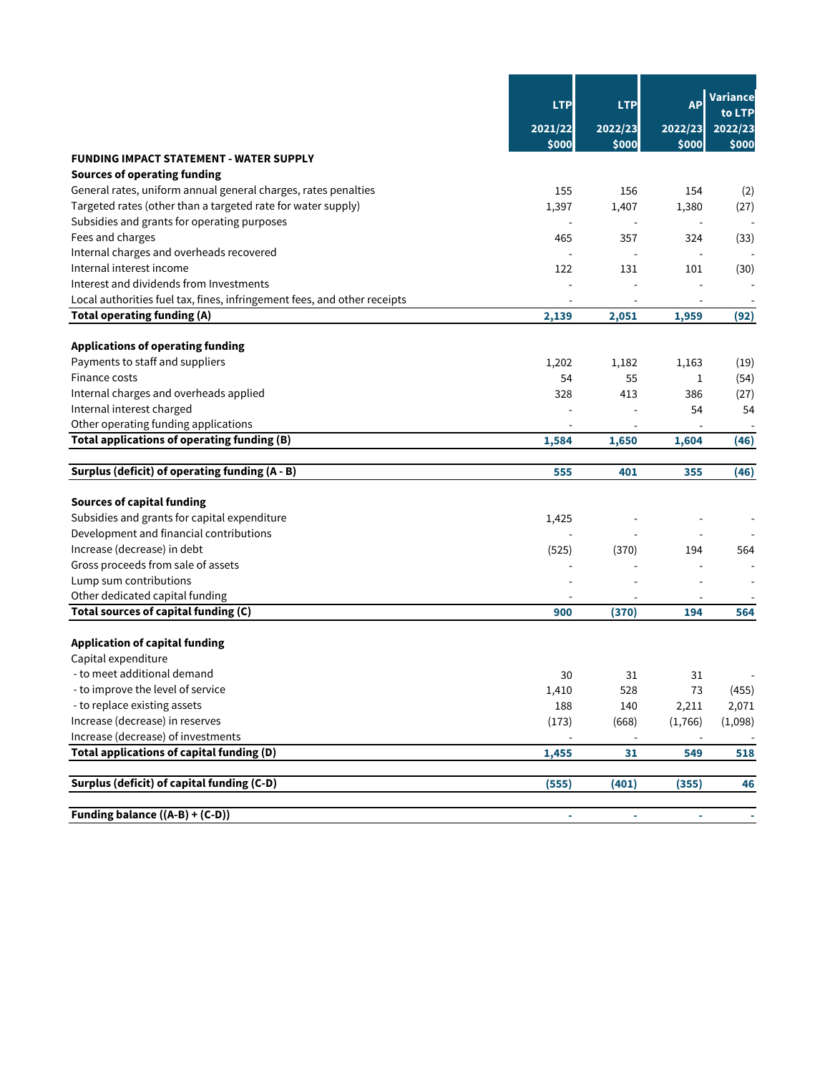|                                                                          | <b>LTP</b><br>2021/22<br>\$000 | <b>LTP</b><br>2022/23<br>\$000 | AP<br>2022/23<br>\$000   | Variance<br>to LTP<br>2022/23<br>\$000 |
|--------------------------------------------------------------------------|--------------------------------|--------------------------------|--------------------------|----------------------------------------|
| <b>FUNDING IMPACT STATEMENT - WATER SUPPLY</b>                           |                                |                                |                          |                                        |
| <b>Sources of operating funding</b>                                      |                                |                                |                          |                                        |
| General rates, uniform annual general charges, rates penalties           | 155                            | 156                            | 154                      | (2)                                    |
| Targeted rates (other than a targeted rate for water supply)             | 1,397                          | 1,407                          | 1,380                    | (27)                                   |
| Subsidies and grants for operating purposes                              |                                |                                | $\overline{a}$           |                                        |
| Fees and charges                                                         | 465                            | 357                            | 324                      | (33)                                   |
| Internal charges and overheads recovered                                 |                                |                                | $\overline{a}$           |                                        |
| Internal interest income                                                 | 122                            | 131                            | 101                      | (30)                                   |
| Interest and dividends from Investments                                  | $\overline{a}$                 |                                | $\overline{a}$           |                                        |
| Local authorities fuel tax, fines, infringement fees, and other receipts |                                |                                |                          |                                        |
| Total operating funding (A)                                              | 2,139                          | 2,051                          | 1,959                    | (92)                                   |
| <b>Applications of operating funding</b>                                 |                                |                                |                          |                                        |
| Payments to staff and suppliers                                          | 1,202                          | 1,182                          | 1,163                    | (19)                                   |
| Finance costs                                                            | 54                             | 55                             | 1                        | (54)                                   |
| Internal charges and overheads applied                                   | 328                            | 413                            | 386                      | (27)                                   |
| Internal interest charged                                                |                                |                                | 54                       | 54                                     |
| Other operating funding applications                                     |                                |                                |                          |                                        |
| Total applications of operating funding (B)                              | 1,584                          | 1,650                          | 1,604                    | (46)                                   |
| Surplus (deficit) of operating funding (A - B)                           | 555                            | 401                            | 355                      | (46)                                   |
| <b>Sources of capital funding</b>                                        |                                |                                |                          |                                        |
| Subsidies and grants for capital expenditure                             | 1,425                          |                                |                          |                                        |
| Development and financial contributions                                  |                                |                                |                          |                                        |
| Increase (decrease) in debt                                              | (525)                          | (370)                          | 194                      | 564                                    |
| Gross proceeds from sale of assets                                       |                                |                                |                          |                                        |
| Lump sum contributions                                                   |                                |                                |                          |                                        |
| Other dedicated capital funding                                          |                                |                                |                          |                                        |
| Total sources of capital funding (C)                                     | 900                            | (370)                          | 194                      | 564                                    |
| <b>Application of capital funding</b>                                    |                                |                                |                          |                                        |
| Capital expenditure                                                      |                                |                                |                          |                                        |
| - to meet additional demand                                              | 30                             | 31                             | 31                       |                                        |
| - to improve the level of service                                        | 1,410                          | 528                            | 73                       | (455)                                  |
| - to replace existing assets                                             | 188                            | 140                            | 2,211                    | 2,071                                  |
| Increase (decrease) in reserves                                          | (173)                          | (668)                          | (1,766)                  | (1,098)                                |
| Increase (decrease) of investments                                       |                                | $\overline{\phantom{a}}$       | $\overline{\phantom{a}}$ |                                        |
| Total applications of capital funding (D)                                | 1,455                          | 31                             | 549                      | 518                                    |
| Surplus (deficit) of capital funding (C-D)                               | (555)                          | (401)                          | (355)                    | 46                                     |
| Funding balance ((A-B) + (C-D))                                          | ÷                              |                                |                          |                                        |
|                                                                          |                                |                                |                          |                                        |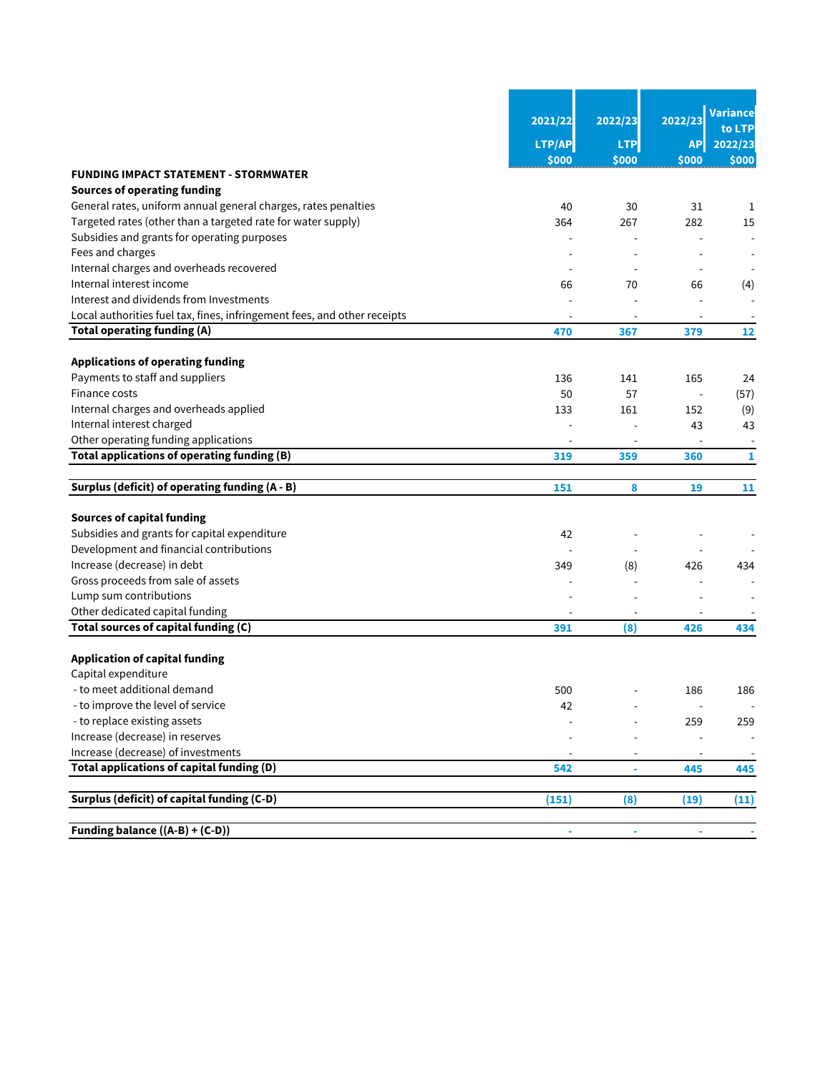|                                                                          | 2021/22 | 2022/23        | 2022/23                  | Variance<br>to LTP       |
|--------------------------------------------------------------------------|---------|----------------|--------------------------|--------------------------|
|                                                                          | LTP/AP  | <b>LTP</b>     | <b>API</b>               | 2022/23                  |
|                                                                          | \$000   | \$000          | \$000                    | \$000                    |
| <b>FUNDING IMPACT STATEMENT - STORMWATER</b>                             |         |                |                          |                          |
| <b>Sources of operating funding</b>                                      |         |                |                          |                          |
| General rates, uniform annual general charges, rates penalties           | 40      | 30             | 31                       | 1                        |
| Targeted rates (other than a targeted rate for water supply)             | 364     | 267            | 282                      | 15                       |
| Subsidies and grants for operating purposes                              |         |                |                          |                          |
| Fees and charges                                                         |         |                |                          |                          |
| Internal charges and overheads recovered                                 |         |                |                          |                          |
| Internal interest income                                                 | 66      | 70             | 66                       | (4)                      |
| Interest and dividends from Investments                                  |         |                |                          |                          |
| Local authorities fuel tax, fines, infringement fees, and other receipts |         |                |                          |                          |
| <b>Total operating funding (A)</b>                                       | 470     | 367            | 379                      | 12                       |
| <b>Applications of operating funding</b>                                 |         |                |                          |                          |
| Payments to staff and suppliers                                          | 136     | 141            | 165                      | 24                       |
| Finance costs                                                            | 50      | 57             | J.                       | (57)                     |
| Internal charges and overheads applied                                   | 133     | 161            | 152                      | (9)                      |
| Internal interest charged                                                |         |                | 43                       | 43                       |
| Other operating funding applications                                     |         |                | $\overline{\phantom{a}}$ | $\overline{\phantom{a}}$ |
| Total applications of operating funding (B)                              | 319     | 359            | 360                      | 1                        |
|                                                                          |         |                |                          |                          |
| Surplus (deficit) of operating funding (A - B)                           | 151     | 8              | 19                       | 11                       |
| <b>Sources of capital funding</b>                                        |         |                |                          |                          |
| Subsidies and grants for capital expenditure                             | 42      |                |                          |                          |
| Development and financial contributions                                  |         | $\overline{a}$ |                          |                          |
| Increase (decrease) in debt                                              | 349     | (8)            | 426                      | 434                      |
| Gross proceeds from sale of assets                                       |         |                |                          |                          |
| Lump sum contributions                                                   |         |                |                          |                          |
| Other dedicated capital funding                                          |         | $\overline{a}$ |                          |                          |
| Total sources of capital funding (C)                                     | 391     | (8)            | 426                      | 434                      |
|                                                                          |         |                |                          |                          |
| <b>Application of capital funding</b>                                    |         |                |                          |                          |
| Capital expenditure                                                      |         |                |                          |                          |
| - to meet additional demand                                              | 500     |                | 186                      | 186                      |
| - to improve the level of service                                        | 42      |                |                          | $\overline{\phantom{a}}$ |
| - to replace existing assets                                             |         |                | 259                      | 259                      |
| Increase (decrease) in reserves                                          |         |                |                          |                          |
| Increase (decrease) of investments                                       |         |                |                          |                          |
| Total applications of capital funding (D)                                | 542     | ÷,             | 445                      | 445                      |
| Surplus (deficit) of capital funding (C-D)                               | (151)   | (8)            | (19)                     | (11)                     |
|                                                                          |         |                |                          |                          |
| Funding balance ((A-B) + (C-D))                                          |         |                |                          |                          |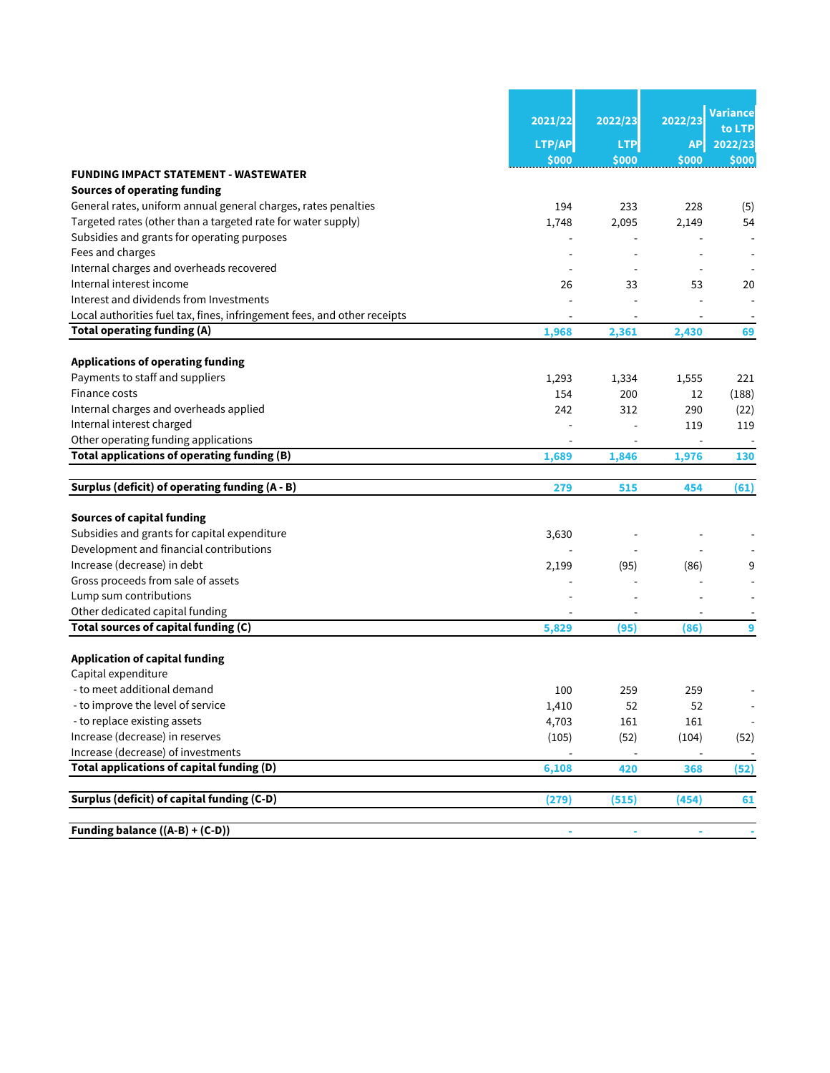|                                                                          | 2021/22 | 2022/23    | 2022/23                  | Variance<br>to LTP       |
|--------------------------------------------------------------------------|---------|------------|--------------------------|--------------------------|
|                                                                          | LTP/AP  | <b>LTP</b> | <b>API</b>               | 2022/23                  |
|                                                                          | \$000   | \$000      | \$000                    | \$000                    |
| <b>FUNDING IMPACT STATEMENT - WASTEWATER</b>                             |         |            |                          |                          |
| <b>Sources of operating funding</b>                                      |         |            |                          |                          |
| General rates, uniform annual general charges, rates penalties           | 194     | 233        | 228                      | (5)                      |
| Targeted rates (other than a targeted rate for water supply)             | 1,748   | 2,095      | 2,149                    | 54                       |
| Subsidies and grants for operating purposes                              |         |            |                          |                          |
| Fees and charges                                                         |         |            |                          |                          |
| Internal charges and overheads recovered                                 |         |            |                          |                          |
| Internal interest income                                                 | 26      | 33         | 53                       | 20                       |
| Interest and dividends from Investments                                  |         |            |                          |                          |
| Local authorities fuel tax, fines, infringement fees, and other receipts |         |            |                          |                          |
| Total operating funding (A)                                              | 1,968   | 2,361      | 2,430                    | 69                       |
| <b>Applications of operating funding</b>                                 |         |            |                          |                          |
| Payments to staff and suppliers                                          | 1,293   | 1,334      | 1,555                    | 221                      |
| Finance costs                                                            | 154     | 200        | 12                       | (188)                    |
| Internal charges and overheads applied                                   | 242     | 312        | 290                      | (22)                     |
| Internal interest charged                                                |         |            | 119                      | 119                      |
| Other operating funding applications                                     |         |            | $\overline{\phantom{a}}$ |                          |
| Total applications of operating funding (B)                              | 1,689   | 1,846      | 1,976                    | 130                      |
|                                                                          |         |            |                          |                          |
| Surplus (deficit) of operating funding (A - B)                           | 279     | 515        | 454                      | (61)                     |
| <b>Sources of capital funding</b>                                        |         |            |                          |                          |
| Subsidies and grants for capital expenditure                             | 3,630   |            |                          |                          |
| Development and financial contributions                                  |         |            |                          |                          |
| Increase (decrease) in debt                                              | 2,199   | (95)       | (86)                     | 9                        |
| Gross proceeds from sale of assets                                       |         |            |                          |                          |
| Lump sum contributions                                                   |         |            |                          |                          |
| Other dedicated capital funding                                          |         |            |                          |                          |
| Total sources of capital funding (C)                                     | 5,829   | (95)       | (86)                     | 9                        |
|                                                                          |         |            |                          |                          |
| <b>Application of capital funding</b>                                    |         |            |                          |                          |
| Capital expenditure                                                      |         |            |                          |                          |
| - to meet additional demand                                              | 100     | 259        | 259                      |                          |
| - to improve the level of service                                        | 1,410   | 52         | 52                       | $\overline{\phantom{a}}$ |
| - to replace existing assets                                             | 4,703   | 161        | 161                      | $\overline{\phantom{a}}$ |
| Increase (decrease) in reserves                                          | (105)   | (52)       | (104)                    | (52)                     |
| Increase (decrease) of investments                                       |         |            |                          |                          |
| Total applications of capital funding (D)                                | 6,108   | 420        | 368                      | (52)                     |
| Surplus (deficit) of capital funding (C-D)                               | (279)   | (515)      | (454)                    | 61                       |
|                                                                          |         |            |                          |                          |
| Funding balance ((A-B) + (C-D))                                          |         |            |                          |                          |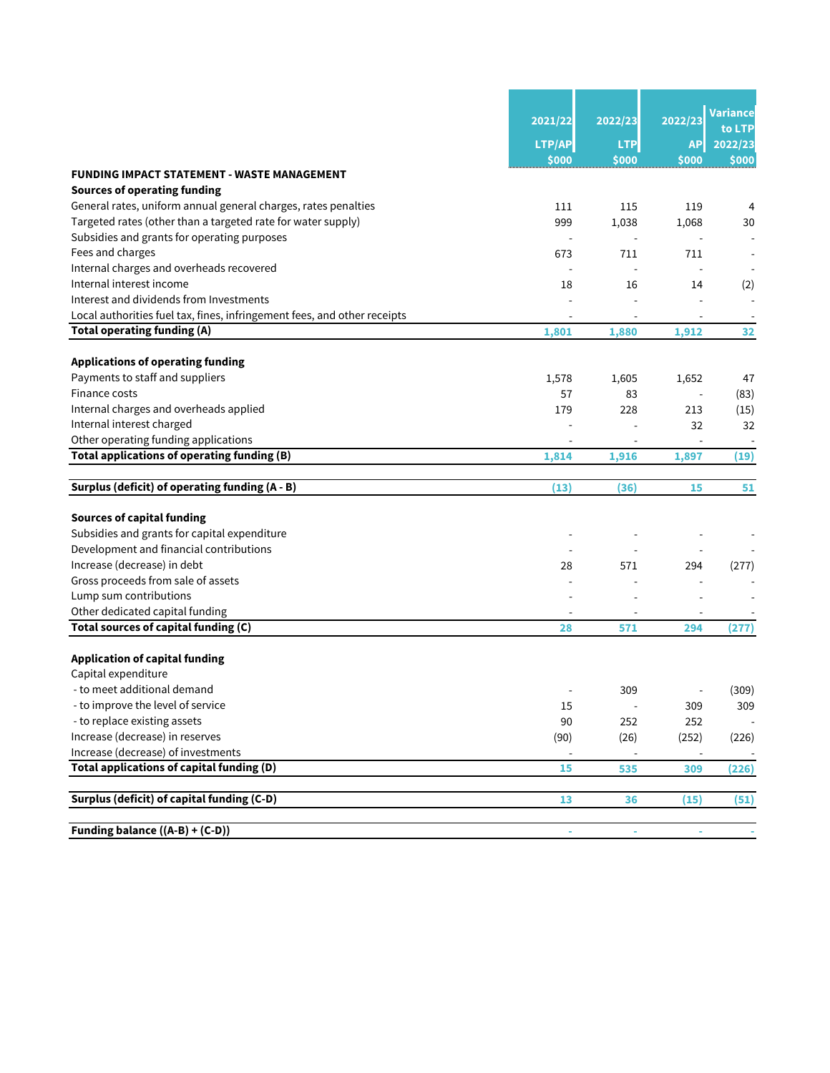|                                                                          | 2021/22 | 2022/23        | 2022/23   | Variance<br>to LTP |
|--------------------------------------------------------------------------|---------|----------------|-----------|--------------------|
|                                                                          | LTP/AP  | <b>LTP</b>     | <b>AP</b> | 2022/23            |
|                                                                          | \$000   | \$000          | \$000     | \$000              |
| <b>FUNDING IMPACT STATEMENT - WASTE MANAGEMENT</b>                       |         |                |           |                    |
| <b>Sources of operating funding</b>                                      |         |                |           |                    |
| General rates, uniform annual general charges, rates penalties           | 111     | 115            | 119       | 4                  |
| Targeted rates (other than a targeted rate for water supply)             | 999     | 1,038          | 1,068     | 30                 |
| Subsidies and grants for operating purposes                              |         |                |           |                    |
| Fees and charges                                                         | 673     | 711            | 711       |                    |
| Internal charges and overheads recovered                                 |         |                |           |                    |
| Internal interest income                                                 | 18      | 16             | 14        | (2)                |
| Interest and dividends from Investments                                  |         |                |           |                    |
| Local authorities fuel tax, fines, infringement fees, and other receipts |         |                |           |                    |
| Total operating funding (A)                                              | 1,801   | 1,880          | 1,912     | 32                 |
| <b>Applications of operating funding</b>                                 |         |                |           |                    |
| Payments to staff and suppliers                                          | 1,578   | 1,605          | 1,652     | 47                 |
| Finance costs                                                            | 57      | 83             |           | (83)               |
| Internal charges and overheads applied                                   | 179     | 228            | 213       | (15)               |
| Internal interest charged                                                |         |                | 32        | 32                 |
| Other operating funding applications                                     |         |                |           |                    |
| Total applications of operating funding (B)                              | 1,814   | 1,916          | 1,897     | (19)               |
|                                                                          |         |                |           |                    |
| Surplus (deficit) of operating funding (A - B)                           | (13)    | (36)           | 15        | 51                 |
| <b>Sources of capital funding</b>                                        |         |                |           |                    |
| Subsidies and grants for capital expenditure                             |         |                |           |                    |
| Development and financial contributions                                  |         |                |           |                    |
| Increase (decrease) in debt                                              | 28      | 571            | 294       | (277)              |
| Gross proceeds from sale of assets                                       |         |                |           |                    |
| Lump sum contributions                                                   |         |                |           |                    |
| Other dedicated capital funding                                          |         |                |           |                    |
| Total sources of capital funding (C)                                     | 28      | 571            | 294       | (277)              |
| <b>Application of capital funding</b>                                    |         |                |           |                    |
| Capital expenditure                                                      |         |                |           |                    |
| - to meet additional demand                                              |         | 309            |           | (309)              |
| - to improve the level of service                                        | 15      | $\blacksquare$ | 309       | 309                |
| - to replace existing assets                                             | 90      | 252            | 252       |                    |
| Increase (decrease) in reserves                                          | (90)    | (26)           | (252)     | (226)              |
| Increase (decrease) of investments                                       |         |                |           |                    |
| Total applications of capital funding (D)                                | 15      | 535            | 309       | (226)              |
|                                                                          |         |                |           |                    |
| Surplus (deficit) of capital funding (C-D)                               | 13      | 36             | (15)      | (51)               |
| Funding balance $((A-B)+(C-D))$                                          | ÷       | $\blacksquare$ |           |                    |
|                                                                          |         |                |           |                    |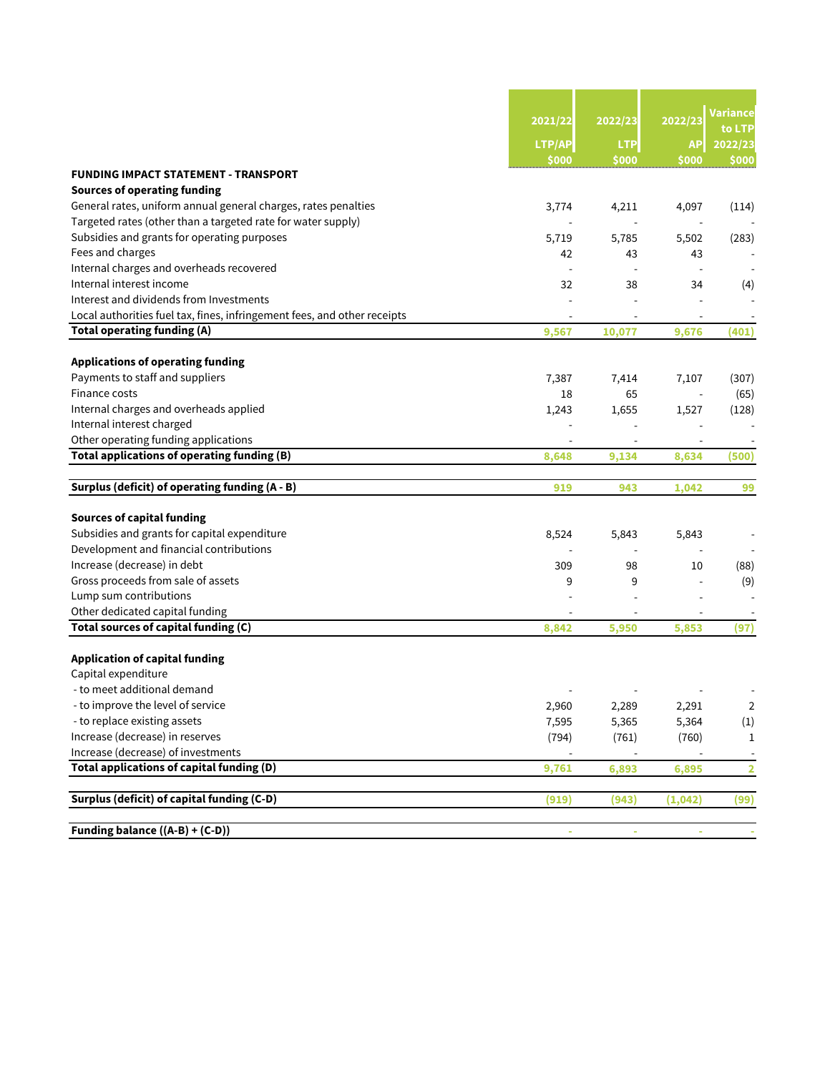|                                                                          | 2021/22        | 2022/23                  | 2022/23                  | Variance                |
|--------------------------------------------------------------------------|----------------|--------------------------|--------------------------|-------------------------|
|                                                                          | LTP/AP         | <b>LTP</b>               | <b>AP</b>                | 2022/23                 |
|                                                                          | \$000          | \$000                    | \$000                    | \$000                   |
| <b>FUNDING IMPACT STATEMENT - TRANSPORT</b>                              |                |                          |                          |                         |
| <b>Sources of operating funding</b>                                      |                |                          |                          |                         |
| General rates, uniform annual general charges, rates penalties           | 3,774          | 4,211                    | 4,097                    | (114)                   |
| Targeted rates (other than a targeted rate for water supply)             |                |                          |                          |                         |
| Subsidies and grants for operating purposes                              | 5,719          | 5,785                    | 5,502                    | (283)                   |
| Fees and charges                                                         | 42             | 43                       | 43                       |                         |
| Internal charges and overheads recovered                                 |                |                          |                          |                         |
| Internal interest income                                                 | 32             | 38                       | 34                       | (4)                     |
| Interest and dividends from Investments                                  |                |                          |                          |                         |
| Local authorities fuel tax, fines, infringement fees, and other receipts |                |                          |                          |                         |
| Total operating funding (A)                                              | 9,567          | 10,077                   | 9,676                    | (401)                   |
| <b>Applications of operating funding</b>                                 |                |                          |                          |                         |
| Payments to staff and suppliers                                          | 7,387          | 7,414                    | 7,107                    | (307)                   |
| Finance costs                                                            | 18             | 65                       |                          | (65)                    |
| Internal charges and overheads applied                                   | 1,243          | 1,655                    | 1,527                    | (128)                   |
| Internal interest charged                                                |                |                          |                          |                         |
| Other operating funding applications                                     |                |                          |                          |                         |
| Total applications of operating funding (B)                              | 8,648          | 9,134                    | 8,634                    | (500)                   |
|                                                                          |                |                          |                          |                         |
| Surplus (deficit) of operating funding (A - B)                           | 919            | 943                      | 1,042                    | 99                      |
| <b>Sources of capital funding</b>                                        |                |                          |                          |                         |
| Subsidies and grants for capital expenditure                             | 8,524          | 5,843                    | 5,843                    |                         |
| Development and financial contributions                                  |                | $\overline{\phantom{a}}$ | $\overline{\phantom{a}}$ |                         |
| Increase (decrease) in debt                                              | 309            | 98                       | 10                       | (88)                    |
| Gross proceeds from sale of assets                                       | 9              | 9                        |                          | (9)                     |
| Lump sum contributions                                                   |                |                          |                          |                         |
| Other dedicated capital funding                                          |                |                          |                          |                         |
| Total sources of capital funding (C)                                     | 8,842          | 5,950                    | 5,853                    | (97)                    |
| <b>Application of capital funding</b>                                    |                |                          |                          |                         |
| Capital expenditure                                                      |                |                          |                          |                         |
| - to meet additional demand                                              |                |                          |                          |                         |
| - to improve the level of service                                        |                |                          |                          | $\overline{2}$          |
| - to replace existing assets                                             | 2,960<br>7,595 | 2,289<br>5,365           | 2,291<br>5,364           | (1)                     |
| Increase (decrease) in reserves                                          | (794)          | (761)                    | (760)                    |                         |
| Increase (decrease) of investments                                       |                |                          |                          | $\mathbf{1}$            |
| Total applications of capital funding (D)                                | 9,761          | 6,893                    |                          | $\overline{\mathbf{2}}$ |
|                                                                          |                |                          | 6,895                    |                         |
| Surplus (deficit) of capital funding (C-D)                               | (919)          | (943)                    | (1,042)                  | (99)                    |
|                                                                          |                |                          |                          |                         |
| Funding balance ((A-B) + (C-D))                                          |                |                          |                          |                         |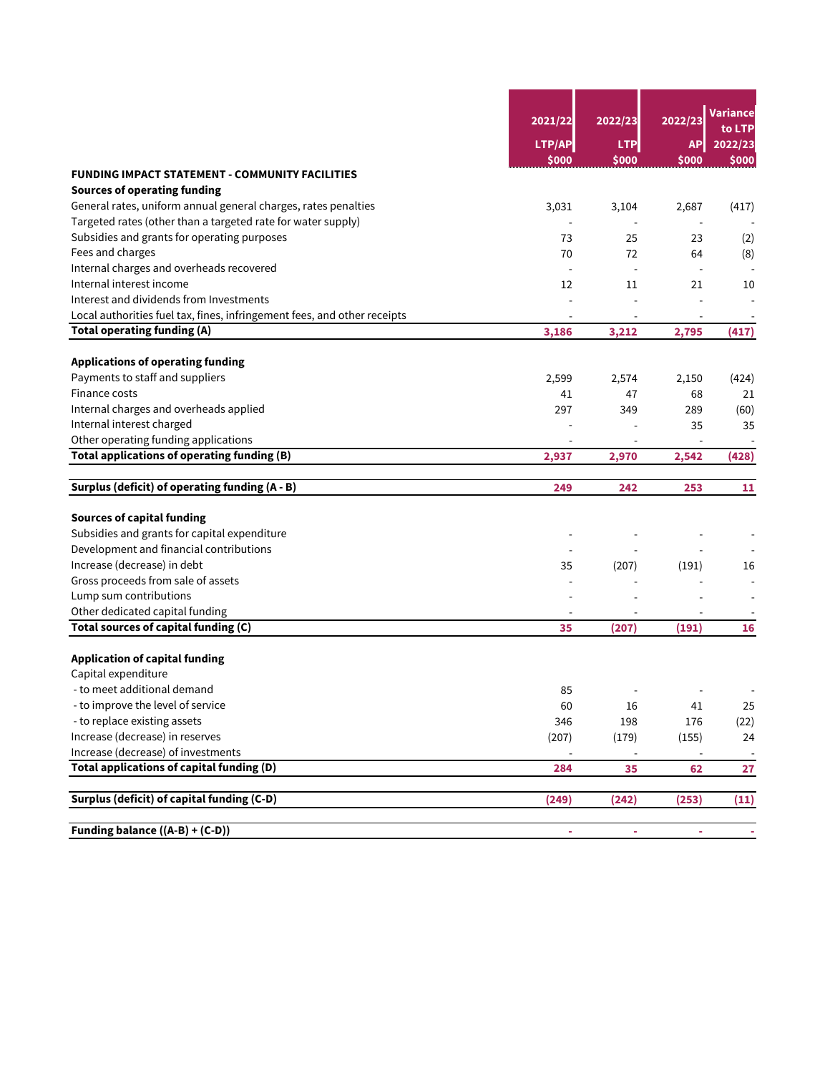|                                                                          | 2021/22 | 2022/23                  | 2022/23        | <b>Variance</b><br>to LTP |  |
|--------------------------------------------------------------------------|---------|--------------------------|----------------|---------------------------|--|
|                                                                          | LTP/AP  | <b>LTP</b>               | <b>AP</b>      | 2022/23                   |  |
|                                                                          | \$000   | \$000                    | \$000          | \$000                     |  |
| <b>FUNDING IMPACT STATEMENT - COMMUNITY FACILITIES</b>                   |         |                          |                |                           |  |
| <b>Sources of operating funding</b>                                      |         |                          |                |                           |  |
| General rates, uniform annual general charges, rates penalties           | 3,031   | 3,104                    | 2,687          | (417)                     |  |
| Targeted rates (other than a targeted rate for water supply)             |         | $\overline{a}$           | $\overline{a}$ |                           |  |
| Subsidies and grants for operating purposes                              | 73      | 25                       | 23             | (2)                       |  |
| Fees and charges                                                         | 70      | 72                       | 64             | (8)                       |  |
| Internal charges and overheads recovered                                 |         | $\overline{a}$           | $\overline{a}$ |                           |  |
| Internal interest income                                                 | 12      | 11                       | 21             | 10                        |  |
| Interest and dividends from Investments                                  |         |                          |                |                           |  |
| Local authorities fuel tax, fines, infringement fees, and other receipts |         |                          |                |                           |  |
| Total operating funding (A)                                              | 3,186   | 3,212                    | 2,795          | (417)                     |  |
| <b>Applications of operating funding</b>                                 |         |                          |                |                           |  |
| Payments to staff and suppliers                                          | 2,599   | 2,574                    | 2,150          | (424)                     |  |
| Finance costs                                                            | 41      | 47                       | 68             | 21                        |  |
| Internal charges and overheads applied                                   | 297     | 349                      | 289            | (60)                      |  |
| Internal interest charged                                                |         |                          | 35             | 35                        |  |
| Other operating funding applications                                     |         |                          |                |                           |  |
| Total applications of operating funding (B)                              | 2,937   | 2,970                    | 2,542          | (428)                     |  |
| Surplus (deficit) of operating funding (A - B)                           | 249     | 242                      | 253            | 11                        |  |
|                                                                          |         |                          |                |                           |  |
| <b>Sources of capital funding</b>                                        |         |                          |                |                           |  |
| Subsidies and grants for capital expenditure                             |         |                          |                |                           |  |
| Development and financial contributions                                  |         |                          |                |                           |  |
| Increase (decrease) in debt                                              | 35      | (207)                    | (191)          | 16                        |  |
| Gross proceeds from sale of assets                                       |         |                          |                |                           |  |
| Lump sum contributions                                                   |         |                          |                |                           |  |
| Other dedicated capital funding                                          |         |                          |                |                           |  |
| Total sources of capital funding (C)                                     | 35      | (207)                    | (191)          | 16                        |  |
| <b>Application of capital funding</b>                                    |         |                          |                |                           |  |
| Capital expenditure                                                      |         |                          |                |                           |  |
| - to meet additional demand                                              | 85      |                          |                |                           |  |
| - to improve the level of service                                        | 60      | 16                       | 41             | 25                        |  |
| - to replace existing assets                                             | 346     | 198                      | 176            | (22)                      |  |
| Increase (decrease) in reserves                                          | (207)   | (179)                    | (155)          | 24                        |  |
| Increase (decrease) of investments                                       |         | $\overline{\phantom{a}}$ | $\overline{a}$ | $\overline{\phantom{a}}$  |  |
| Total applications of capital funding (D)                                | 284     | 35                       | 62             | 27                        |  |
| Surplus (deficit) of capital funding (C-D)                               |         |                          |                |                           |  |
|                                                                          | (249)   | (242)                    | (253)          | (11)                      |  |
| Funding balance ((A-B) + (C-D))                                          | ÷       | ÷                        | ۰              |                           |  |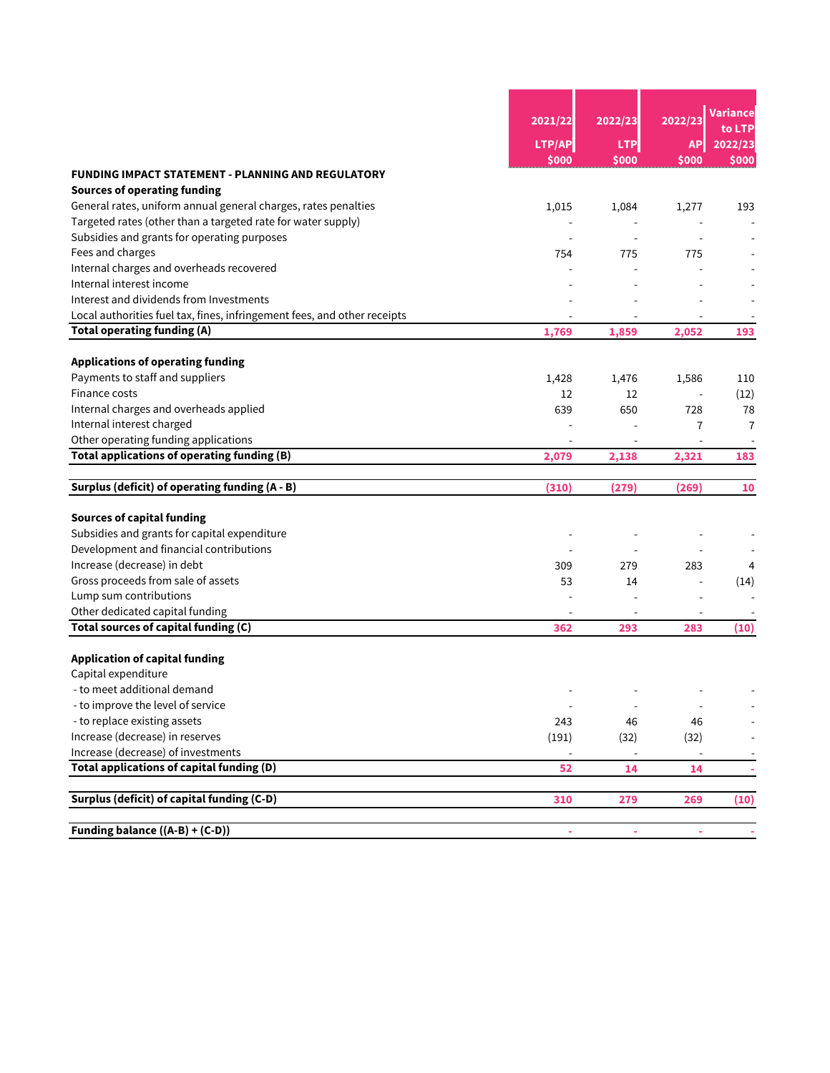|                                                                          | 2021/22                  | 2022/23                  | 2022/23                  | Variance<br>to LTP       |  |
|--------------------------------------------------------------------------|--------------------------|--------------------------|--------------------------|--------------------------|--|
|                                                                          | LTP/AP                   | <b>LTP</b>               | <b>AP</b>                | 2022/23                  |  |
|                                                                          | \$000                    | \$000                    | \$000                    | \$000                    |  |
| <b>FUNDING IMPACT STATEMENT - PLANNING AND REGULATORY</b>                |                          |                          |                          |                          |  |
| <b>Sources of operating funding</b>                                      |                          |                          |                          |                          |  |
| General rates, uniform annual general charges, rates penalties           | 1,015                    | 1,084                    | 1,277                    | 193                      |  |
| Targeted rates (other than a targeted rate for water supply)             |                          |                          |                          |                          |  |
| Subsidies and grants for operating purposes                              |                          |                          |                          |                          |  |
| Fees and charges                                                         | 754                      | 775                      | 775                      |                          |  |
| Internal charges and overheads recovered                                 |                          |                          |                          |                          |  |
| Internal interest income                                                 |                          |                          |                          |                          |  |
| Interest and dividends from Investments                                  |                          |                          |                          |                          |  |
| Local authorities fuel tax, fines, infringement fees, and other receipts |                          |                          |                          |                          |  |
| <b>Total operating funding (A)</b>                                       | 1,769                    | 1,859                    | 2,052                    | 193                      |  |
| <b>Applications of operating funding</b>                                 |                          |                          |                          |                          |  |
| Payments to staff and suppliers                                          | 1,428                    | 1,476                    | 1,586                    | 110                      |  |
| Finance costs                                                            | 12                       | 12                       |                          | (12)                     |  |
| Internal charges and overheads applied                                   | 639                      | 650                      | 728                      | 78                       |  |
| Internal interest charged                                                |                          |                          | 7                        | $\overline{7}$           |  |
| Other operating funding applications                                     |                          |                          |                          |                          |  |
| Total applications of operating funding (B)                              | 2,079                    | 2,138                    | 2,321                    | 183                      |  |
|                                                                          |                          |                          |                          |                          |  |
| Surplus (deficit) of operating funding (A - B)                           | (310)                    | (279)                    | (269)                    | 10                       |  |
| <b>Sources of capital funding</b>                                        |                          |                          |                          |                          |  |
| Subsidies and grants for capital expenditure                             |                          |                          |                          |                          |  |
| Development and financial contributions                                  |                          |                          |                          |                          |  |
| Increase (decrease) in debt                                              | 309                      | 279                      | 283                      | 4                        |  |
| Gross proceeds from sale of assets                                       | 53                       | 14                       |                          | (14)                     |  |
| Lump sum contributions                                                   |                          |                          |                          |                          |  |
| Other dedicated capital funding                                          |                          |                          |                          |                          |  |
| Total sources of capital funding (C)                                     | 362                      | 293                      | 283                      | (10)                     |  |
| <b>Application of capital funding</b>                                    |                          |                          |                          |                          |  |
| Capital expenditure                                                      |                          |                          |                          |                          |  |
| - to meet additional demand                                              |                          |                          |                          |                          |  |
| - to improve the level of service                                        | $\overline{\phantom{a}}$ | $\overline{\phantom{a}}$ | $\overline{a}$           |                          |  |
| - to replace existing assets                                             | 243                      | 46                       | 46                       |                          |  |
| Increase (decrease) in reserves                                          | (191)                    | (32)                     | (32)                     |                          |  |
| Increase (decrease) of investments                                       | $\overline{\phantom{a}}$ | $\overline{\phantom{a}}$ | $\overline{\phantom{a}}$ | $\overline{\phantom{a}}$ |  |
| Total applications of capital funding (D)                                | 52                       | 14                       | 14                       | $\sim$                   |  |
|                                                                          |                          |                          |                          |                          |  |
| Surplus (deficit) of capital funding (C-D)                               | 310                      | 279                      | 269                      | (10)                     |  |
|                                                                          |                          |                          |                          |                          |  |
| Funding balance ((A-B) + (C-D))                                          | ÷                        | ÷                        | ÷                        |                          |  |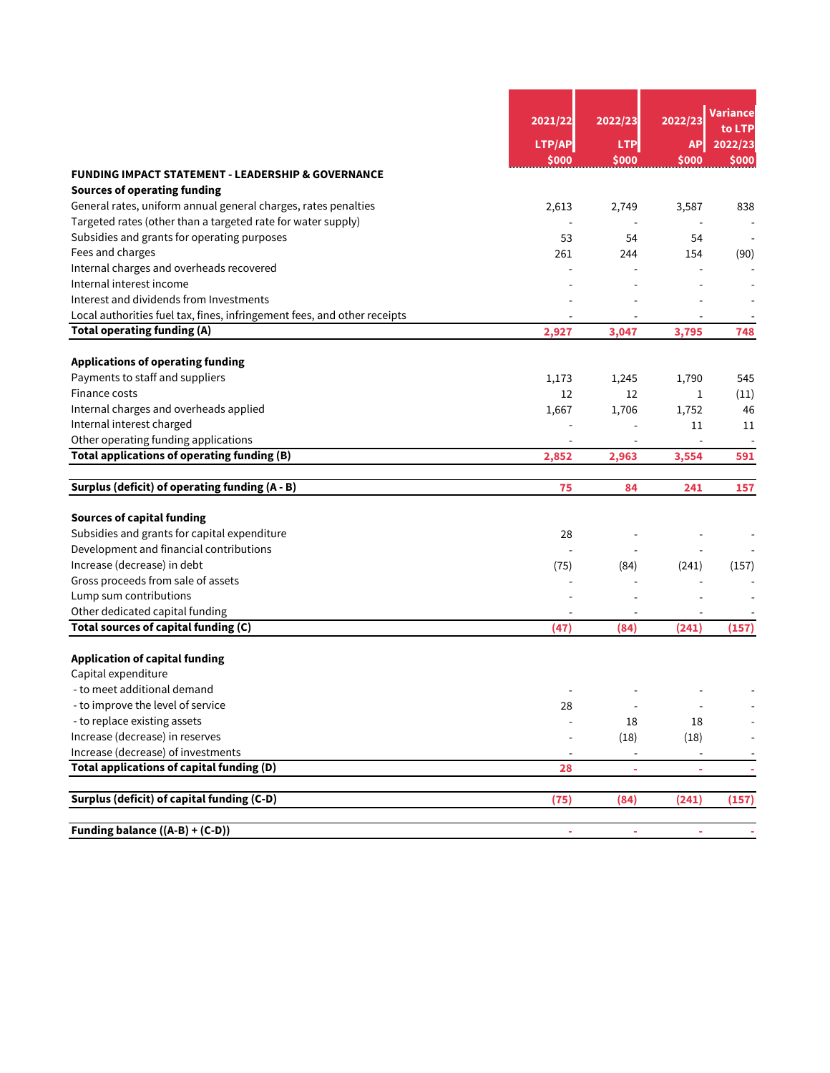|                                                                          | 2021/22                      | 2022/23                  | 2022/23                  | <u>Va</u> riance<br>to LTP |  |
|--------------------------------------------------------------------------|------------------------------|--------------------------|--------------------------|----------------------------|--|
|                                                                          | LTP/AP                       | <b>LTP</b>               | <b>AP</b>                | 2022/23                    |  |
|                                                                          | \$000                        | \$000                    | \$000                    | \$000                      |  |
| <b>FUNDING IMPACT STATEMENT - LEADERSHIP &amp; GOVERNANCE</b>            |                              |                          |                          |                            |  |
| <b>Sources of operating funding</b>                                      |                              |                          |                          |                            |  |
| General rates, uniform annual general charges, rates penalties           | 2,613                        | 2,749                    | 3,587                    | 838                        |  |
| Targeted rates (other than a targeted rate for water supply)             |                              | $\overline{\phantom{a}}$ | $\overline{a}$           |                            |  |
| Subsidies and grants for operating purposes                              | 53                           | 54                       | 54                       |                            |  |
| Fees and charges                                                         | 261                          | 244                      | 154                      | (90)                       |  |
| Internal charges and overheads recovered                                 |                              |                          |                          |                            |  |
| Internal interest income                                                 |                              |                          |                          |                            |  |
| Interest and dividends from Investments                                  |                              |                          |                          |                            |  |
| Local authorities fuel tax, fines, infringement fees, and other receipts |                              |                          |                          |                            |  |
| <b>Total operating funding (A)</b>                                       | 2,927                        | 3,047                    | 3,795                    | 748                        |  |
| <b>Applications of operating funding</b>                                 |                              |                          |                          |                            |  |
| Payments to staff and suppliers                                          | 1,173                        | 1,245                    | 1,790                    | 545                        |  |
| Finance costs                                                            | 12                           | 12                       | 1                        | (11)                       |  |
| Internal charges and overheads applied                                   | 1,667                        | 1,706                    | 1,752                    | 46                         |  |
| Internal interest charged                                                |                              |                          | 11                       | 11                         |  |
| Other operating funding applications                                     |                              |                          |                          |                            |  |
| Total applications of operating funding (B)                              | 2,852                        | 2,963                    | 3,554                    | 591                        |  |
| Surplus (deficit) of operating funding (A - B)                           | 75                           | 84                       | 241                      | 157                        |  |
|                                                                          |                              |                          |                          |                            |  |
| <b>Sources of capital funding</b>                                        |                              |                          |                          |                            |  |
| Subsidies and grants for capital expenditure                             | 28                           |                          |                          |                            |  |
| Development and financial contributions                                  |                              |                          |                          |                            |  |
| Increase (decrease) in debt                                              | (75)                         | (84)                     | (241)                    | (157)                      |  |
| Gross proceeds from sale of assets                                       |                              |                          |                          |                            |  |
| Lump sum contributions                                                   |                              |                          |                          |                            |  |
| Other dedicated capital funding                                          |                              |                          |                          |                            |  |
| Total sources of capital funding (C)                                     | (47)                         | (84)                     | (241)                    | (157)                      |  |
| <b>Application of capital funding</b>                                    |                              |                          |                          |                            |  |
| Capital expenditure                                                      |                              |                          |                          |                            |  |
| - to meet additional demand                                              |                              |                          |                          |                            |  |
| - to improve the level of service                                        | 28                           | $\overline{\phantom{a}}$ |                          |                            |  |
| - to replace existing assets                                             |                              | 18                       | 18                       |                            |  |
| Increase (decrease) in reserves                                          |                              | (18)                     | (18)                     |                            |  |
| Increase (decrease) of investments                                       | $\qquad \qquad \blacksquare$ | $\overline{\phantom{a}}$ | $\overline{\phantom{a}}$ |                            |  |
| Total applications of capital funding (D)                                | 28                           | $\blacksquare$           | $\blacksquare$           |                            |  |
| Surplus (deficit) of capital funding (C-D)                               | (75)                         | (84)                     | (241)                    | (157)                      |  |
|                                                                          |                              |                          |                          |                            |  |
| Funding balance $((A-B)+(C-D))$                                          | ÷,                           | ÷                        |                          |                            |  |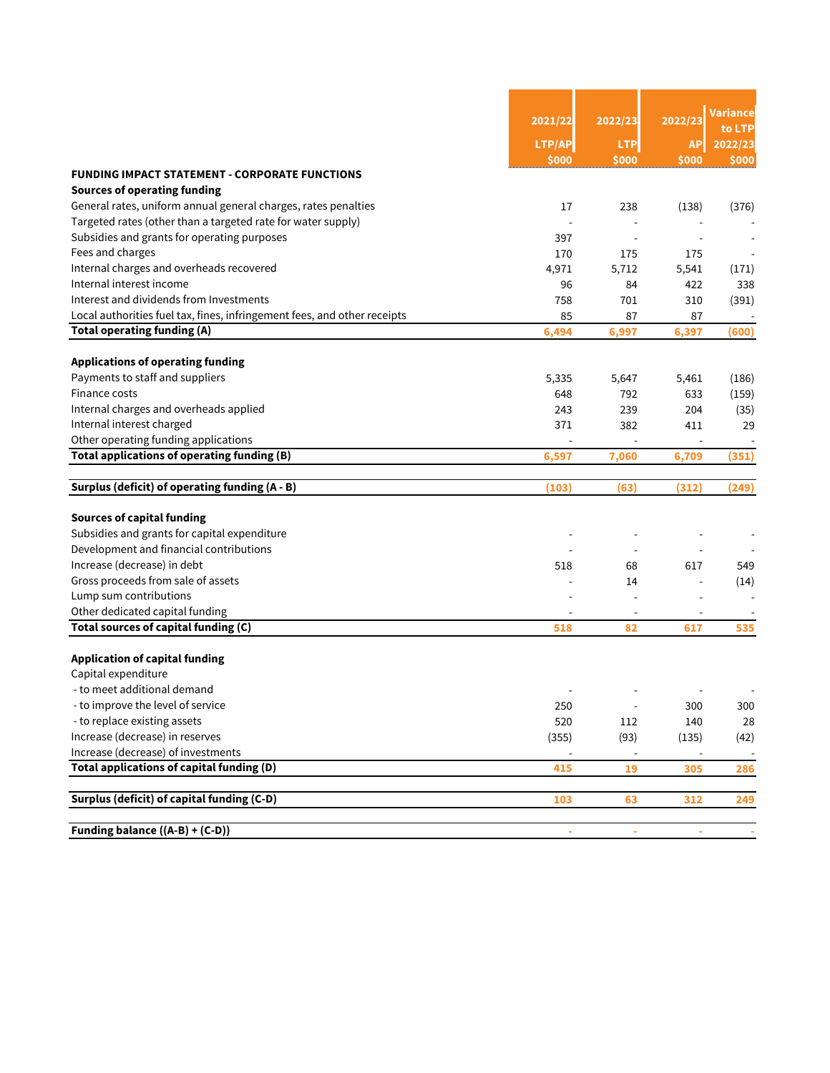|                                                                          | 2021/22 | 2022/23                      | 2022/23                      | Variance<br>to LTP |
|--------------------------------------------------------------------------|---------|------------------------------|------------------------------|--------------------|
|                                                                          | LTP/AP  | <b>LTP</b>                   | <b>AP</b>                    | 2022/23            |
|                                                                          | \$000   | \$000                        | \$000                        | \$000              |
| <b>FUNDING IMPACT STATEMENT - CORPORATE FUNCTIONS</b>                    |         |                              |                              |                    |
| <b>Sources of operating funding</b>                                      |         |                              |                              |                    |
| General rates, uniform annual general charges, rates penalties           | 17      | 238                          | (138)                        | (376)              |
| Targeted rates (other than a targeted rate for water supply)             |         |                              |                              |                    |
| Subsidies and grants for operating purposes                              | 397     | $\overline{a}$               |                              |                    |
| Fees and charges                                                         | 170     | 175                          | 175                          |                    |
| Internal charges and overheads recovered                                 | 4,971   | 5,712                        | 5,541                        | (171)              |
| Internal interest income                                                 | 96      | 84                           | 422                          | 338                |
| Interest and dividends from Investments                                  | 758     | 701                          | 310                          | (391)              |
| Local authorities fuel tax, fines, infringement fees, and other receipts | 85      | 87                           | 87                           |                    |
| <b>Total operating funding (A)</b>                                       | 6,494   | 6,997                        | 6,397                        | (600)              |
| <b>Applications of operating funding</b>                                 |         |                              |                              |                    |
| Payments to staff and suppliers                                          | 5,335   | 5,647                        | 5,461                        | (186)              |
| Finance costs                                                            | 648     | 792                          | 633                          | (159)              |
| Internal charges and overheads applied                                   | 243     | 239                          | 204                          | (35)               |
| Internal interest charged                                                | 371     | 382                          | 411                          | 29                 |
| Other operating funding applications                                     |         |                              | $\overline{a}$               |                    |
| Total applications of operating funding (B)                              | 6.597   | 7,060                        | 6,709                        | (351)              |
|                                                                          |         |                              |                              |                    |
| Surplus (deficit) of operating funding (A - B)                           | (103)   | (63)                         | (312)                        | (249)              |
| <b>Sources of capital funding</b>                                        |         |                              |                              |                    |
| Subsidies and grants for capital expenditure                             |         |                              |                              |                    |
| Development and financial contributions                                  |         |                              |                              |                    |
| Increase (decrease) in debt                                              | 518     | 68                           | 617                          | 549                |
| Gross proceeds from sale of assets                                       |         | 14                           |                              | (14)               |
| Lump sum contributions                                                   |         |                              | $\overline{\phantom{a}}$     |                    |
| Other dedicated capital funding                                          |         |                              |                              |                    |
| Total sources of capital funding (C)                                     | 518     | 82                           | 617                          | 535                |
| <b>Application of capital funding</b>                                    |         |                              |                              |                    |
| Capital expenditure                                                      |         |                              |                              |                    |
| - to meet additional demand                                              |         |                              |                              |                    |
| - to improve the level of service                                        | 250     | $\qquad \qquad \blacksquare$ | 300                          | 300                |
| - to replace existing assets                                             | 520     | 112                          | 140                          | 28                 |
| Increase (decrease) in reserves                                          | (355)   | (93)                         | (135)                        | (42)               |
| Increase (decrease) of investments                                       |         | $\overline{\phantom{a}}$     | $\qquad \qquad \blacksquare$ | $\sim$             |
| Total applications of capital funding (D)                                | 415     | 19                           | 305                          | 286                |
|                                                                          |         |                              |                              |                    |
| Surplus (deficit) of capital funding (C-D)                               | 103     | 63                           | 312                          | 249                |
|                                                                          |         |                              |                              |                    |
| Funding balance ((A-B) + (C-D))                                          |         |                              |                              |                    |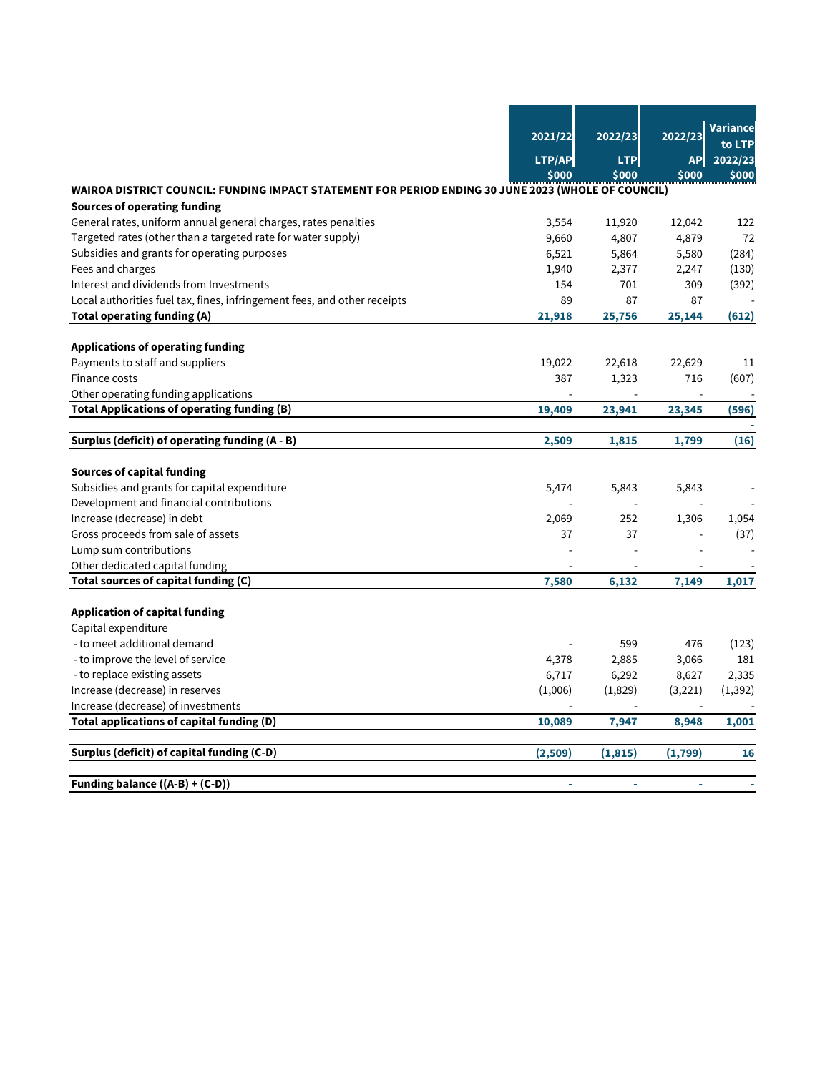|                                                                                                     |         |            |                | Variance       |
|-----------------------------------------------------------------------------------------------------|---------|------------|----------------|----------------|
|                                                                                                     | 2021/22 | 2022/23    | 2022/23        | to LTP         |
|                                                                                                     | LTP/AP  | <b>LTP</b> | <b>AP</b>      | 2022/23        |
|                                                                                                     | \$000   | \$000      | \$000          | \$000          |
| WAIROA DISTRICT COUNCIL: FUNDING IMPACT STATEMENT FOR PERIOD ENDING 30 JUNE 2023 (WHOLE OF COUNCIL) |         |            |                |                |
| <b>Sources of operating funding</b>                                                                 |         |            |                |                |
| General rates, uniform annual general charges, rates penalties                                      | 3,554   | 11,920     | 12,042         | 122            |
| Targeted rates (other than a targeted rate for water supply)                                        | 9,660   | 4,807      | 4,879          | 72             |
| Subsidies and grants for operating purposes                                                         | 6,521   | 5,864      | 5,580          | (284)          |
| Fees and charges                                                                                    | 1,940   | 2,377      | 2,247          | (130)          |
| Interest and dividends from Investments                                                             | 154     | 701        | 309            | (392)          |
| Local authorities fuel tax, fines, infringement fees, and other receipts                            | 89      | 87         | 87             |                |
| <b>Total operating funding (A)</b>                                                                  | 21,918  | 25,756     | 25,144         | (612)          |
|                                                                                                     |         |            |                |                |
| <b>Applications of operating funding</b>                                                            |         |            |                |                |
| Payments to staff and suppliers                                                                     | 19,022  | 22,618     | 22,629         | 11             |
| Finance costs                                                                                       | 387     | 1,323      | 716            | (607)          |
| Other operating funding applications                                                                |         |            |                |                |
| <b>Total Applications of operating funding (B)</b>                                                  | 19,409  | 23,941     | 23,345         | (596)          |
| Surplus (deficit) of operating funding (A - B)                                                      | 2,509   | 1,815      | 1,799          | (16)           |
| <b>Sources of capital funding</b>                                                                   |         |            |                |                |
| Subsidies and grants for capital expenditure                                                        | 5,474   | 5,843      | 5,843          |                |
| Development and financial contributions                                                             |         |            |                |                |
| Increase (decrease) in debt                                                                         | 2,069   | 252        | 1,306          | 1,054          |
| Gross proceeds from sale of assets                                                                  | 37      | 37         |                | (37)           |
| Lump sum contributions                                                                              |         |            |                |                |
| Other dedicated capital funding                                                                     |         |            |                |                |
| Total sources of capital funding (C)                                                                | 7,580   | 6,132      | 7,149          | 1,017          |
|                                                                                                     |         |            |                |                |
| <b>Application of capital funding</b>                                                               |         |            |                |                |
| Capital expenditure                                                                                 |         |            |                |                |
| - to meet additional demand                                                                         |         | 599        | 476            | (123)          |
| - to improve the level of service                                                                   | 4,378   | 2,885      | 3,066          | 181            |
| - to replace existing assets                                                                        | 6,717   | 6,292      | 8,627          | 2,335          |
| Increase (decrease) in reserves                                                                     | (1,006) | (1,829)    | (3,221)        | (1, 392)       |
| Increase (decrease) of investments                                                                  |         |            | $\overline{a}$ |                |
| Total applications of capital funding (D)                                                           | 10,089  | 7,947      | 8,948          | 1,001          |
| Surplus (deficit) of capital funding (C-D)                                                          | (2,509) | (1, 815)   | (1,799)        | 16             |
| Funding balance ((A-B) + (C-D))                                                                     | $\sim$  | $\sim$     | $\blacksquare$ | $\overline{a}$ |
|                                                                                                     |         |            |                |                |